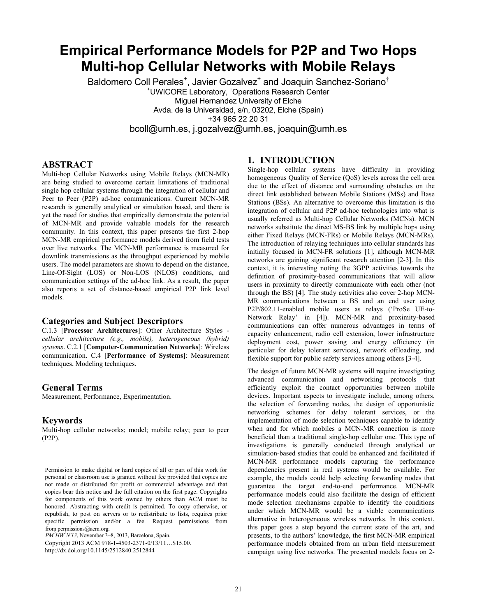# **Empirical Performance Models for P2P and Two Hops Multi-hop Cellular Networks with Mobile Relays**

Baldomero Coll Perales<sup>+</sup>, Javier Gozalvez<sup>+</sup> and Joaquin Sanchez-Soriano<sup>†</sup> + UWICORE Laboratory, † Operations Research Center Miguel Hernandez University of Elche Avda. de la Universidad, s/n, 03202, Elche (Spain) +34 965 22 20 31 bcoll@umh.es, j.gozalvez@umh.es, joaquin@umh.es

## **ABSTRACT**

Multi-hop Cellular Networks using Mobile Relays (MCN-MR) are being studied to overcome certain limitations of traditional single hop cellular systems through the integration of cellular and Peer to Peer (P2P) ad-hoc communications. Current MCN-MR research is generally analytical or simulation based, and there is yet the need for studies that empirically demonstrate the potential of MCN-MR and provide valuable models for the research community. In this context, this paper presents the first 2-hop MCN-MR empirical performance models derived from field tests over live networks. The MCN-MR performance is measured for downlink transmissions as the throughput experienced by mobile users. The model parameters are shown to depend on the distance, Line-Of-Sight (LOS) or Non-LOS (NLOS) conditions, and communication settings of the ad-hoc link. As a result, the paper also reports a set of distance-based empirical P2P link level models.

# **Categories and Subject Descriptors**

C.1.3 [**Processor Architectures**]: Other Architecture Styles *cellular architecture (e.g., mobile), heterogeneous (hybrid) systems*. C.2.1 [**Computer-Communication Networks**]: Wireless communication. C.4 [**Performance of Systems**]: Measurement techniques, Modeling techniques.

#### **General Terms**

Measurement, Performance, Experimentation.

# **Keywords**

Multi-hop cellular networks; model; mobile relay; peer to peer (P2P).

Permission to make digital or hard copies of all or part of this work for personal or classroom use is granted without fee provided that copies are not made or distributed for profit or commercial advantage and that copies bear this notice and the full citation on the first page. Copyrights for components of this work owned by others than ACM must be honored. Abstracting with credit is permitted. To copy otherwise, or republish, to post on servers or to redistribute to lists, requires prior specific permission and/or a fee. Request permissions from

Copyright 2013 ACM 978-1-4503-2371-0/13/11…\$15.00. from permissions@acm.org. *PM2 HW2 N'13*, November 3–8, 2013, Barcelona, Spain.

http://dx.doi.org/10.1145/2512840.2512844

# **1. INTRODUCTION**

Single-hop cellular systems have difficulty in providing homogeneous Quality of Service (QoS) levels across the cell area due to the effect of distance and surrounding obstacles on the direct link established between Mobile Stations (MSs) and Base Stations (BSs). An alternative to overcome this limitation is the integration of cellular and P2P ad-hoc technologies into what is usually referred as Multi-hop Cellular Networks (MCNs). MCN networks substitute the direct MS-BS link by multiple hops using either Fixed Relays (MCN-FRs) or Mobile Relays (MCN-MRs). The introduction of relaying techniques into cellular standards has initially focused in MCN-FR solutions [1], although MCN-MR networks are gaining significant research attention [2-3]. In this context, it is interesting noting the 3GPP activities towards the definition of proximity-based communications that will allow users in proximity to directly communicate with each other (not through the BS) [4]. The study activities also cover 2-hop MCN-MR communications between a BS and an end user using P2P/802.11-enabled mobile users as relays ('ProSe UE-to-Network Relay' in [4]). MCN-MR and proximity-based communications can offer numerous advantages in terms of capacity enhancement, radio cell extension, lower infrastructure deployment cost, power saving and energy efficiency (in particular for delay tolerant services), network offloading, and flexible support for public safety services among others [3-4].

The design of future MCN-MR systems will require investigating advanced communication and networking protocols that efficiently exploit the contact opportunities between mobile devices. Important aspects to investigate include, among others, the selection of forwarding nodes, the design of opportunistic networking schemes for delay tolerant services, or the implementation of mode selection techniques capable to identify when and for which mobiles a MCN-MR connection is more beneficial than a traditional single-hop cellular one. This type of investigations is generally conducted through analytical or simulation-based studies that could be enhanced and facilitated if MCN-MR performance models capturing the performance dependencies present in real systems would be available. For example, the models could help selecting forwarding nodes that guarantee the target end-to-end performance. MCN-MR performance models could also facilitate the design of efficient mode selection mechanisms capable to identify the conditions under which MCN-MR would be a viable communications alternative in heterogeneous wireless networks. In this context, this paper goes a step beyond the current state of the art, and presents, to the authors' knowledge, the first MCN-MR empirical performance models obtained from an urban field measurement campaign using live networks. The presented models focus on 2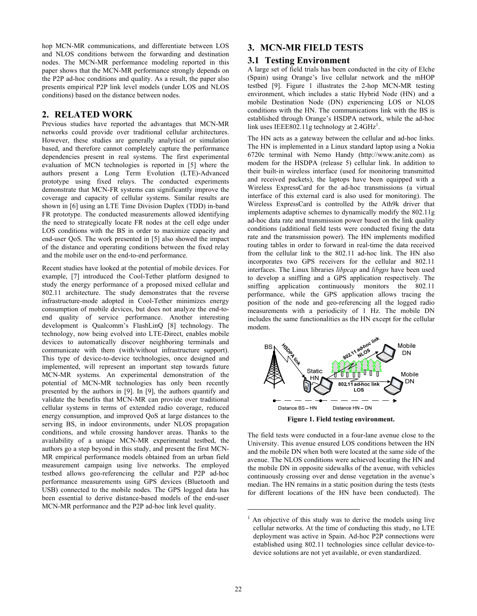hop MCN-MR communications, and differentiate between LOS and NLOS conditions between the forwarding and destination nodes. The MCN-MR performance modeling reported in this paper shows that the MCN-MR performance strongly depends on the P2P ad-hoc conditions and quality. As a result, the paper also presents empirical P2P link level models (under LOS and NLOS conditions) based on the distance between nodes.

# **2. RELATED WORK**

Previous studies have reported the advantages that MCN-MR networks could provide over traditional cellular architectures. However, these studies are generally analytical or simulation based, and therefore cannot completely capture the performance dependencies present in real systems. The first experimental evaluation of MCN technologies is reported in [5] where the authors present a Long Term Evolution (LTE)-Advanced prototype using fixed relays. The conducted experiments demonstrate that MCN-FR systems can significantly improve the coverage and capacity of cellular systems. Similar results are shown in [6] using an LTE Time Division Duplex (TDD) in-band FR prototype. The conducted measurements allowed identifying the need to strategically locate FR nodes at the cell edge under LOS conditions with the BS in order to maximize capacity and end-user QoS. The work presented in [5] also showed the impact of the distance and operating conditions between the fixed relay and the mobile user on the end-to-end performance.

Recent studies have looked at the potential of mobile devices. For example, [7] introduced the Cool-Tether platform designed to study the energy performance of a proposed mixed cellular and 802.11 architecture. The study demonstrates that the reverse infrastructure-mode adopted in Cool-Tether minimizes energy consumption of mobile devices, but does not analyze the end-toend quality of service performance. Another interesting development is Qualcomm's FlashLinQ [8] technology. The technology, now being evolved into LTE-Direct, enables mobile devices to automatically discover neighboring terminals and communicate with them (with/without infrastructure support). This type of device-to-device technologies, once designed and implemented, will represent an important step towards future MCN-MR systems. An experimental demonstration of the potential of MCN-MR technologies has only been recently presented by the authors in [9]. In [9], the authors quantify and validate the benefits that MCN-MR can provide over traditional cellular systems in terms of extended radio coverage, reduced energy consumption, and improved QoS at large distances to the serving BS, in indoor environments, under NLOS propagation conditions, and while crossing handover areas. Thanks to the availability of a unique MCN-MR experimental testbed, the authors go a step beyond in this study, and present the first MCN-MR empirical performance models obtained from an urban field measurement campaign using live networks. The employed testbed allows geo-referencing the cellular and P2P ad-hoc performance measurements using GPS devices (Bluetooth and USB) connected to the mobile nodes. The GPS logged data has been essential to derive distance-based models of the end-user MCN-MR performance and the P2P ad-hoc link level quality.

# **3. MCN-MR FIELD TESTS**

# **3.1 Testing Environment**

A large set of field trials has been conducted in the city of Elche (Spain) using Orange's live cellular network and the mHOP testbed [9]. Figure 1 illustrates the 2-hop MCN-MR testing environment, which includes a static Hybrid Node (HN) and a mobile Destination Node (DN) experiencing LOS or NLOS conditions with the HN. The communications link with the BS is established through Orange's HSDPA network, while the ad-hoc link uses IEEE802.11g technology at  $2.4$ GHz<sup>1</sup>.

The HN acts as a gateway between the cellular and ad-hoc links. The HN is implemented in a Linux standard laptop using a Nokia 6720c terminal with Nemo Handy (http://www.anite.com) as modem for the HSDPA (release 5) cellular link. In addition to their built-in wireless interface (used for monitoring transmitted and received packets), the laptops have been equipped with a Wireless ExpressCard for the ad-hoc transmissions (a virtual interface of this external card is also used for monitoring). The Wireless ExpressCard is controlled by the Ath9k driver that implements adaptive schemes to dynamically modify the 802.11g ad-hoc data rate and transmission power based on the link quality conditions (additional field tests were conducted fixing the data rate and the transmission power). The HN implements modified routing tables in order to forward in real-time the data received from the cellular link to the 802.11 ad-hoc link. The HN also incorporates two GPS receivers for the cellular and 802.11 interfaces. The Linux libraries *libpcap* and *libgps* have been used to develop a sniffing and a GPS application respectively. The sniffing application continuously monitors the 802.11 performance, while the GPS application allows tracing the position of the node and geo-referencing all the logged radio measurements with a periodicity of 1 Hz. The mobile DN includes the same functionalities as the HN except for the cellular modem.



**Figure 1. Field testing environment.** 

The field tests were conducted in a four-lane avenue close to the University. This avenue ensured LOS conditions between the HN and the mobile DN when both were located at the same side of the avenue. The NLOS conditions were achieved locating the HN and the mobile DN in opposite sidewalks of the avenue, with vehicles continuously crossing over and dense vegetation in the avenue's median. The HN remains in a static position during the tests (tests for different locations of the HN have been conducted). The

1

<sup>&</sup>lt;sup>1</sup> An objective of this study was to derive the models using live cellular networks. At the time of conducting this study, no LTE deployment was active in Spain. Ad-hoc P2P connections were established using 802.11 technologies since cellular device-todevice solutions are not yet available, or even standardized.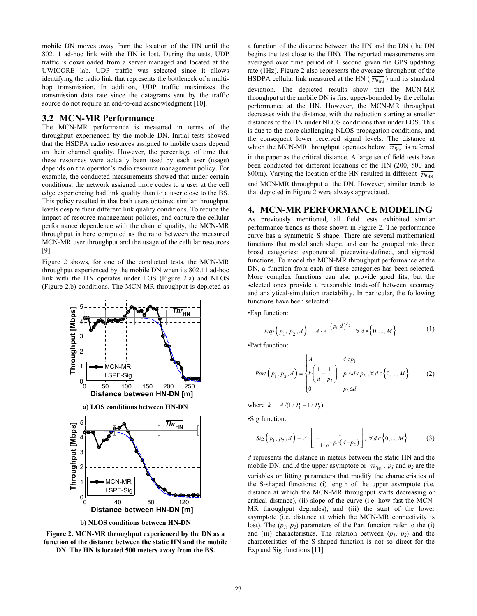mobile DN moves away from the location of the HN until the 802.11 ad-hoc link with the HN is lost. During the tests, UDP traffic is downloaded from a server managed and located at the UWICORE lab. UDP traffic was selected since it allows identifying the radio link that represents the bottleneck of a multihop transmission. In addition, UDP traffic maximizes the transmission data rate since the datagrams sent by the traffic source do not require an end-to-end acknowledgment [10].

#### **3.2 MCN-MR Performance**

The MCN-MR performance is measured in terms of the throughput experienced by the mobile DN. Initial tests showed that the HSDPA radio resources assigned to mobile users depend on their channel quality. However, the percentage of time that these resources were actually been used by each user (usage) depends on the operator's radio resource management policy. For example, the conducted measurements showed that under certain conditions, the network assigned more codes to a user at the cell edge experiencing bad link quality than to a user close to the BS. This policy resulted in that both users obtained similar throughput levels despite their different link quality conditions. To reduce the impact of resource management policies, and capture the cellular performance dependence with the channel quality, the MCN-MR throughput is here computed as the ratio between the measured MCN-MR user throughput and the usage of the cellular resources [9].

Figure 2 shows, for one of the conducted tests, the MCN-MR throughput experienced by the mobile DN when its 802.11 ad-hoc link with the HN operates under LOS (Figure 2.a) and NLOS (Figure 2.b) conditions. The MCN-MR throughput is depicted as



**b) NLOS conditions between HN-DN** 



a function of the distance between the HN and the DN (the DN begins the test close to the HN). The reported measurements are averaged over time period of 1 second given the GPS updating rate (1Hz). Figure 2 also represents the average throughput of the HSDPA cellular link measured at the HN  $(\overline{Thr_{HN}})$  and its standard deviation. The depicted results show that the MCN-MR throughput at the mobile DN is first upper-bounded by the cellular performance at the HN. However, the MCN-MR throughput decreases with the distance, with the reduction starting at smaller distances to the HN under NLOS conditions than under LOS. This is due to the more challenging NLOS propagation conditions, and the consequent lower received signal levels. The distance at which the MCN-MR throughput operates below  $\overline{Thr_{HN}}$  is referred in the paper as the critical distance. A large set of field tests have been conducted for different locations of the HN (200, 500 and 800m). Varying the location of the HN resulted in different  $\overline{Thr_{H1}}$ and MCN-MR throughput at the DN. However, similar trends to that depicted in Figure 2 were always appreciated.

#### **4. MCN-MR PERFORMANCE MODELING**

As previously mentioned, all field tests exhibited similar performance trends as those shown in Figure 2. The performance curve has a symmetric S shape. There are several mathematical functions that model such shape, and can be grouped into three broad categories: exponential, piecewise-defined, and sigmoid functions. To model the MCN-MR throughput performance at the DN, a function from each of these categories has been selected. More complex functions can also provide good fits, but the selected ones provide a reasonable trade-off between accuracy and analytical-simulation tractability. In particular, the following functions have been selected:

•Exp function:

$$
Exp(p_1, p_2, d) = A \cdot e^{-(p_1 \cdot d)^{p_2}}, \forall d \in \{0, ..., M\}
$$
 (1)

•Part function:

Part 
$$
(p_1, p_2, d)
$$
 = 
$$
\begin{cases} A & d < p_1 \\ k \left( \frac{1}{d} - \frac{1}{p_2} \right) & p_1 \le d < p_2, \forall d \in \{0, ..., M\} \\ 0 & p_2 \le d \end{cases}
$$
 (2)

where  $k = A / (1 / P_1 - 1 / P_2)$ 

•Sig function:

$$
Sig(p_1, p_2, d) = A \cdot \left[ 1 - \frac{1}{1 + e^{-p_1(d - p_2)}} \right], \ \forall d \in \{0, ..., M\}
$$
 (3)

*d* represents the distance in meters between the static HN and the mobile DN, and *A* the upper asymptote or  $\overline{Thr_{HN}}$ .  $p_1$  and  $p_2$  are the variables or fitting parameters that modify the characteristics of the S-shaped functions: (i) length of the upper asymptote (i.e. distance at which the MCN-MR throughput starts decreasing or critical distance), (ii) slope of the curve (i.e. how fast the MCN-MR throughput degrades), and (iii) the start of the lower asymptote (i.e. distance at which the MCN-MR connectivity is lost). The  $(p_1, p_2)$  parameters of the Part function refer to the (i) and (iii) characteristics. The relation between  $(p_1, p_2)$  and the characteristics of the S-shaped function is not so direct for the Exp and Sig functions [11].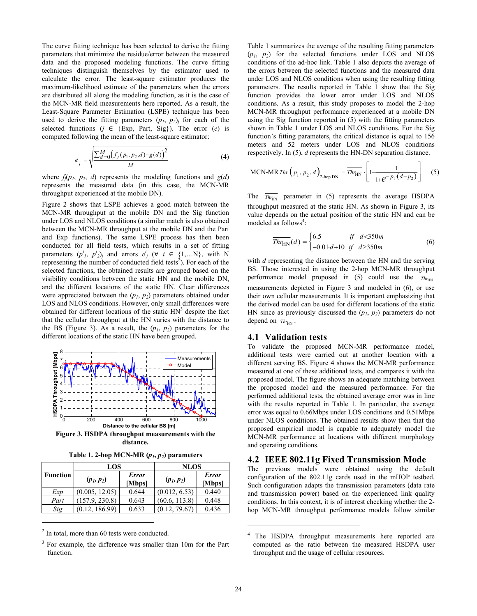The curve fitting technique has been selected to derive the fitting parameters that minimize the residue/error between the measured data and the proposed modeling functions. The curve fitting techniques distinguish themselves by the estimator used to calculate the error. The least-square estimator produces the maximum-likelihood estimate of the parameters when the errors are distributed all along the modeling function, as it is the case of the MCN-MR field measurements here reported. As a result, the Least-Square Parameter Estimation (LSPE) technique has been used to derive the fitting parameters  $(p_1, p_2)$  for each of the selected functions  $(j \in \{Exp, Part, Sig\})$ . The error  $(e)$  is computed following the mean of the least-square estimator:

$$
e_j = \sqrt{\frac{\sum_{d=0}^{M} (f_j(p_1, p_2, d) - g(d))^2}{M}}
$$
(4)

where  $f_j(p_1, p_2, d)$  represents the modeling functions and  $g(d)$ represents the measured data (in this case, the MCN-MR throughput experienced at the mobile DN).

Figure 2 shows that LSPE achieves a good match between the MCN-MR throughput at the mobile DN and the Sig function under LOS and NLOS conditions (a similar match is also obtained between the MCN-MR throughput at the mobile DN and the Part and Exp functions). The same LSPE process has then been conducted for all field tests, which results in a set of fitting parameters  $(p^i_1, p^i_2)_j$  and errors  $e^i_j$  ( $\forall i \in \{1,...N\}$ , with N representing the number of conducted field tests<sup>2</sup>). For each of the selected functions, the obtained results are grouped based on the visibility conditions between the static HN and the mobile DN, and the different locations of the static HN. Clear differences were appreciated between the  $(p_1, p_2)$  parameters obtained under LOS and NLOS conditions. However, only small differences were obtained for different locations of the static  $HN<sup>3</sup>$  despite the fact that the cellular throughput at the HN varies with the distance to the BS (Figure 3). As a result, the  $(p_1, p_2)$  parameters for the different locations of the static HN have been grouped.



**Figure 3. HSDPA throughput measurements with the distance.** 

Table 1. 2-hop MCN-MR  $(p_1, p_2)$  parameters

| <b>Function</b> | LOS            |                        | <b>NLOS</b>   |                        |
|-----------------|----------------|------------------------|---------------|------------------------|
|                 | $(p_1, p_2)$   | <b>Error</b><br>[Mbps] | $(p_1, p_2)$  | <b>Error</b><br>[Mbps] |
| Exp             | (0.005, 12.05) | 0.644                  | (0.012, 6.53) | 0.440                  |
| Part            | (157.9, 230.8) | 0.643                  | (60.6, 113.8) | 0.448                  |
| Sig             | (0.12, 186.99) | 0.633                  | (0.12, 79.67) | 0.436                  |

<sup>2</sup> In total, more than 60 tests were conducted.

 $\overline{a}$ 

Table 1 summarizes the average of the resulting fitting parameters  $(p_1, p_2)$  for the selected functions under LOS and NLOS conditions of the ad-hoc link. Table 1 also depicts the average of the errors between the selected functions and the measured data under LOS and NLOS conditions when using the resulting fitting parameters. The results reported in Table 1 show that the Sig function provides the lower error under LOS and NLOS conditions. As a result, this study proposes to model the 2-hop MCN-MR throughput performance experienced at a mobile DN using the Sig function reported in (5) with the fitting parameters shown in Table 1 under LOS and NLOS conditions. For the Sig function's fitting parameters, the critical distance is equal to 156 meters and 52 meters under LOS and NLOS conditions respectively. In (5), *d* represents the HN-DN separation distance.

$$
\text{MCN-MR} \text{ } \text{Thr} \left( p_1, p_2, d \right)_{\text{2-hop DN}} = \overline{\text{Thr}_{\text{HN}}} \cdot \left[ 1 - \frac{1}{1 + e^{-p_1 \cdot (d - p_2)}} \right] \tag{5}
$$

The  $\overline{Thr_{HN}}$  parameter in (5) represents the average HSDPA throughput measured at the static HN. As shown in Figure 3, its value depends on the actual position of the static HN and can be modeled as follows<sup>4</sup>:

$$
\overline{Thr_{HN}}(d) = \begin{cases} 6.5 & \text{if } d < 350m \\ -0.01 \cdot d + 10 & \text{if } d \ge 350m \end{cases}
$$
 (6)

with *d* representing the distance between the HN and the serving BS. Those interested in using the 2-hop MCN-MR throughput performance model proposed in (5) could use the  $\overline{T_{H_{\text{H}_{\text{NN}}}}}$ measurements depicted in Figure 3 and modeled in (6), or use their own cellular measurements. It is important emphasizing that the derived model can be used for different locations of the static HN since as previously discussed the  $(p_1, p_2)$  parameters do not depend on  $\overline{Thr_{HN}}$ .

### **4.1 Validation tests**

To validate the proposed MCN-MR performance model, additional tests were carried out at another location with a different serving BS. Figure 4 shows the MCN-MR performance measured at one of these additional tests, and compares it with the proposed model. The figure shows an adequate matching between the proposed model and the measured performance. For the performed additional tests, the obtained average error was in line with the results reported in Table 1. In particular, the average error was equal to 0.66Mbps under LOS conditions and 0.51Mbps under NLOS conditions. The obtained results show then that the proposed empirical model is capable to adequately model the MCN-MR performance at locations with different morphology and operating conditions.

#### **4.2 IEEE 802.11g Fixed Transmission Mode**

The previous models were obtained using the default configuration of the 802.11g cards used in the mHOP testbed. Such configuration adapts the transmission parameters (data rate and transmission power) based on the experienced link quality conditions. In this context, it is of interest checking whether the 2 hop MCN-MR throughput performance models follow similar

 $\overline{a}$ 

<sup>3</sup> For example, the difference was smaller than 10m for the Part function.

<sup>4</sup> The HSDPA throughput measurements here reported are computed as the ratio between the measured HSDPA user throughput and the usage of cellular resources.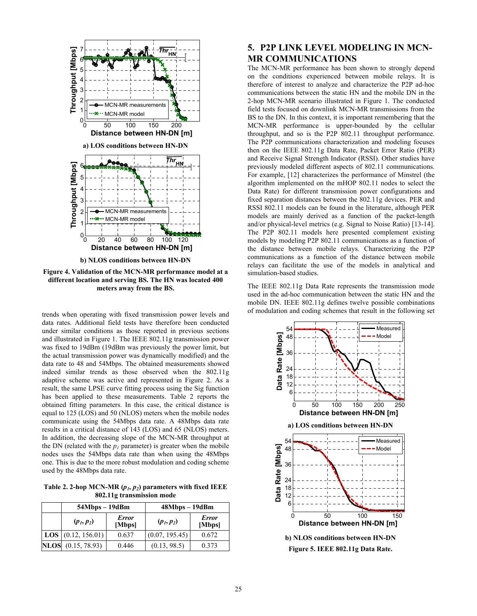

**Figure 4. Validation of the MCN-MR performance model at a different location and serving BS. The HN was located 400 meters away from the BS.** 

trends when operating with fixed transmission power levels and data rates. Additional field tests have therefore been conducted under similar conditions as those reported in previous sections and illustrated in Figure 1. The IEEE 802.11g transmission power was fixed to 19dBm (19dBm was previously the power limit, but the actual transmission power was dynamically modified) and the data rate to 48 and 54Mbps. The obtained measurements showed indeed similar trends as those observed when the 802.11g adaptive scheme was active and represented in Figure 2. As a result, the same LPSE curve fitting process using the Sig function has been applied to these measurements. Table 2 reports the obtained fitting parameters. In this case, the critical distance is equal to 125 (LOS) and 50 (NLOS) meters when the mobile nodes communicate using the 54Mbps data rate. A 48Mbps data rate results in a critical distance of 143 (LOS) and 65 (NLOS) meters. In addition, the decreasing slope of the MCN-MR throughput at the DN (related with the  $p_l$  parameter) is greater when the mobile nodes uses the 54Mbps data rate than when using the 48Mbps one. This is due to the more robust modulation and coding scheme used by the 48Mbps data rate.

Table 2. 2-hop MCN-MR  $(p_1, p_2)$  parameters with fixed IEEE **802.11g transmission mode** 

| $54Mbps - 19dBm$                   |                        | $48Mbps - 19dBm$ |                        |  |
|------------------------------------|------------------------|------------------|------------------------|--|
| $(p_1, p_2)$                       | <b>Error</b><br>[Mbps] | $(p_1, p_2)$     | <b>Error</b><br>[Mbps] |  |
| $\textbf{LOS} \mid (0.12, 156.01)$ | 0.637                  | (0.07, 195.45)   | 0.672                  |  |
| <b>NLOS</b> (0.15, 78.93)          | 0.446                  | (0.13, 98.5)     | 0.373                  |  |

# **5. P2P LINK LEVEL MODELING IN MCN-MR COMMUNICATIONS**

The MCN-MR performance has been shown to strongly depend on the conditions experienced between mobile relays. It is therefore of interest to analyze and characterize the P2P ad-hoc communications between the static HN and the mobile DN in the 2-hop MCN-MR scenario illustrated in Figure 1. The conducted field tests focused on downlink MCN-MR transmissions from the BS to the DN. In this context, it is important remembering that the MCN-MR performance is upper-bounded by the cellular throughput, and so is the P2P 802.11 throughput performance. The P2P communications characterization and modeling focuses then on the IEEE 802.11g Data Rate, Packet Error Ratio (PER) and Receive Signal Strength Indicator (RSSI). Other studies have previously modeled different aspects of 802.11 communications. For example, [12] characterizes the performance of Minstrel (the algorithm implemented on the mHOP 802.11 nodes to select the Data Rate) for different transmission power configurations and fixed separation distances between the 802.11g devices. PER and RSSI 802.11 models can be found in the literature, although PER models are mainly derived as a function of the packet-length and/or physical-level metrics (e.g. Signal to Noise Ratio) [13-14]. The P2P 802.11 models here presented complement existing models by modeling P2P 802.11 communications as a function of the distance between mobile relays. Characterizing the P2P communications as a function of the distance between mobile relays can facilitate the use of the models in analytical and simulation-based studies.

The IEEE 802.11g Data Rate represents the transmission mode used in the ad-hoc communication between the static HN and the mobile DN. IEEE 802.11g defines twelve possible combinations of modulation and coding schemes that result in the following set



**Figure 5. IEEE 802.11g Data Rate.**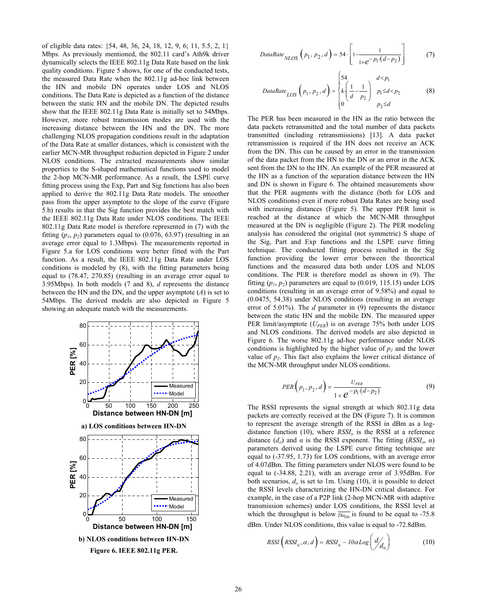of eligible data rates: {54, 48, 36, 24, 18, 12, 9, 6; 11, 5.5, 2, 1} Mbps. As previously mentioned, the 802.11 card's Ath9k driver dynamically selects the IEEE 802.11g Data Rate based on the link quality conditions. Figure 5 shows, for one of the conducted tests, the measured Data Rate when the 802.11g ad-hoc link between the HN and mobile DN operates under LOS and NLOS conditions. The Data Rate is depicted as a function of the distance between the static HN and the mobile DN. The depicted results show that the IEEE 802.11g Data Rate is initially set to 54Mbps. However, more robust transmission modes are used with the increasing distance between the HN and the DN. The more challenging NLOS propagation conditions result in the adaptation of the Data Rate at smaller distances, which is consistent with the earlier MCN-MR throughput reduction depicted in Figure 2 under NLOS conditions. The extracted measurements show similar properties to the S-shaped mathematical functions used to model the 2-hop MCN-MR performance. As a result, the LSPE curve fitting process using the Exp, Part and Sig functions has also been applied to derive the 802.11g Data Rate models. The smoother pass from the upper asymptote to the slope of the curve (Figure 5.b) results in that the Sig function provides the best match with the IEEE 802.11g Data Rate under NLOS conditions. The IEEE 802.11g Data Rate model is therefore represented in (7) with the fitting  $(p_1, p_2)$  parameters equal to  $(0.076, 63.97)$  (resulting in an average error equal to 1.3Mbps). The measurements reported in Figure 5.a for LOS conditions were better fitted with the Part function. As a result, the IEEE 802.11g Data Rate under LOS conditions is modeled by (8), with the fitting parameters being equal to (78.47, 270.85) (resulting in an average error equal to 3.95Mbps). In both models (7 and 8), *d* represents the distance between the HN and the DN, and the upper asymptote (*A*) is set to 54Mbps. The derived models are also depicted in Figure 5 showing an adequate match with the measurements.



$$
DataRate_{NLOS}(p_1, p_2, d) = 54 \cdot \left[1 - \frac{1}{1 + e^{-p_1(d - p_2)}}\right]
$$
 (7)

$$
DataRate_{LOS}\left(p_1, p_2, d\right) = \begin{cases} 54 & d < p_1 \\ k\left(\frac{1}{d} - \frac{1}{p_2}\right) & p_1 \le d < p_2 \\ 0 & p_2 \le d \end{cases}
$$
 (8)

The PER has been measured in the HN as the ratio between the data packets retransmitted and the total number of data packets transmitted (including retransmissions) [13]. A data packet retransmission is required if the HN does not receive an ACK from the DN. This can be caused by an error in the transmission of the data packet from the HN to the DN or an error in the ACK sent from the DN to the HN. An example of the PER measured at the HN as a function of the separation distance between the HN and DN is shown in Figure 6. The obtained measurements show that the PER augments with the distance (both for LOS and NLOS conditions) even if more robust Data Rates are being used with increasing distances (Figure 5). The upper PER limit is reached at the distance at which the MCN-MR throughput measured at the DN is negligible (Figure 2). The PER modeling analysis has considered the original (not symmetric) S shape of the Sig, Part and Exp functions and the LSPE curve fitting technique. The conducted fitting process resulted in the Sig function providing the lower error between the theoretical functions and the measured data both under LOS and NLOS conditions. The PER is therefore model as shown in (9). The fitting  $(p_1, p_2)$  parameters are equal to  $(0.019, 115.15)$  under LOS conditions (resulting in an average error of 9.58%) and equal to (0.0475, 54.38) under NLOS conditions (resulting in an average error of 5.01%). The *d* parameter in (9) represents the distance between the static HN and the mobile DN. The measured upper PER limit/asymptote ( $U_{PER}$ ) is on average 75% both under LOS and NLOS conditions. The derived models are also depicted in Figure 6. The worse 802.11g ad-hoc performance under NLOS conditions is highlighted by the higher value of  $p_l$  and the lower value of  $p_2$ . This fact also explains the lower critical distance of the MCN-MR throughput under NLOS conditions.

$$
PER(p_1, p_2, d) = \frac{U_{PER}}{1 + e^{-p_1(d - p_2)}}
$$
(9)

The RSSI represents the signal strength at which 802.11g data packets are correctly received at the DN (Figure 7). It is common to represent the average strength of the RSSI in dBm as a logdistance function (10), where  $RSSI<sub>o</sub>$  is the RSSI at a reference distance  $(d_o)$  and  $\alpha$  is the RSSI exponent. The fitting  $(RSSI_o, \alpha)$ parameters derived using the LSPE curve fitting technique are equal to (-37.95, 1.73) for LOS conditions, with an average error of 4.07dBm. The fitting parameters under NLOS were found to be equal to (-34.88, 2.21), with an average error of 3.95dBm. For both scenarios, *do* is set to 1m. Using (10), it is possible to detect the RSSI levels characterizing the HN-DN critical distance. For example, in the case of a P2P link (2-hop MCN-MR with adaptive transmission schemes) under LOS conditions, the RSSI level at which the throughput is below  $\overline{Thr_{\text{inv}}}$  is found to be equal to -75.8 dBm. Under NLOS conditions, this value is equal to -72.8dBm.

$$
RSSI\left(RSSI_0, \alpha, d\right) = RSSI_0 - 10\alpha Log\left(\frac{d}{d_0}\right) \tag{10}
$$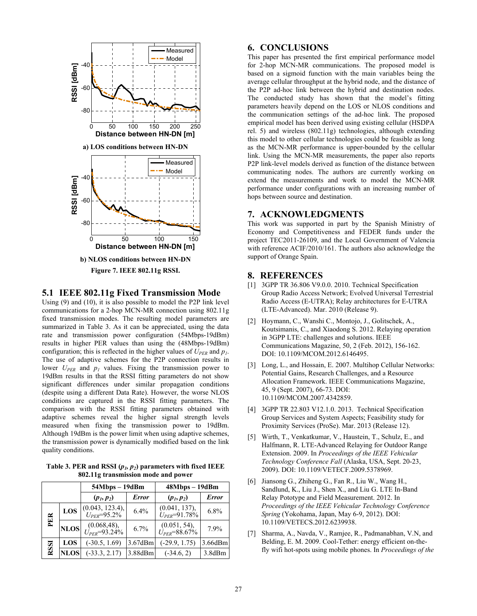

## **5.1 IEEE 802.11g Fixed Transmission Mode**

Using (9) and (10), it is also possible to model the P2P link level communications for a 2-hop MCN-MR connection using 802.11g fixed transmission modes. The resulting model parameters are summarized in Table 3. As it can be appreciated, using the data rate and transmission power configuration (54Mbps-19dBm) results in higher PER values than using the (48Mbps-19dBm) configuration; this is reflected in the higher values of  $U_{PER}$  and  $p_1$ . The use of adaptive schemes for the P2P connection results in lower  $U_{PER}$  and  $p_1$  values. Fixing the transmission power to 19dBm results in that the RSSI fitting parameters do not show significant differences under similar propagation conditions (despite using a different Data Rate). However, the worse NLOS conditions are captured in the RSSI fitting parameters. The comparison with the RSSI fitting parameters obtained with adaptive schemes reveal the higher signal strength levels measured when fixing the transmission power to 19dBm. Although 19dBm is the power limit when using adaptive schemes, the transmission power is dynamically modified based on the link quality conditions.

Table 3. PER and RSSI  $(p_1, p_2)$  parameters with fixed IEEE **802.11g transmission mode and power** 

|             |             | $54Mbps - 19dBm$                        |              | 48Mbps-19dBm                         |              |
|-------------|-------------|-----------------------------------------|--------------|--------------------------------------|--------------|
|             |             | $(p_1, p_2)$                            | <b>Error</b> | $(p_1, p_2)$                         | <b>Error</b> |
| PER         | LOS         | $(0.043, 123.4),$<br>$U_{PER} = 95.2\%$ | 6.4%         | (0.041, 137),<br>$U_{PER} = 91.78\%$ | 6.8%         |
|             | <b>NLOS</b> | $(0.068, 48),$<br>$U_{PER} = 93.24\%$   | 6.7%         | (0.051, 54),<br>$U_{PER} = 88.67\%$  | 7.9%         |
| <b>RSSI</b> | LOS         | $(-30.5, 1.69)$                         | 3.67dBm      | $(-29.9, 1.75)$                      | 3.66dBm      |
|             | <b>NLOS</b> | $(-33.3, 2.17)$                         | 3.88dBm      | $(-34.6, 2)$                         | 3.8dBm       |

# **6. CONCLUSIONS**

This paper has presented the first empirical performance model for 2-hop MCN-MR communications. The proposed model is based on a sigmoid function with the main variables being the average cellular throughput at the hybrid node, and the distance of the P2P ad-hoc link between the hybrid and destination nodes. The conducted study has shown that the model's fitting parameters heavily depend on the LOS or NLOS conditions and the communication settings of the ad-hoc link. The proposed empirical model has been derived using existing cellular (HSDPA rel. 5) and wireless (802.11g) technologies, although extending this model to other cellular technologies could be feasible as long as the MCN-MR performance is upper-bounded by the cellular link. Using the MCN-MR measurements, the paper also reports P2P link-level models derived as function of the distance between communicating nodes. The authors are currently working on extend the measurements and work to model the MCN-MR performance under configurations with an increasing number of hops between source and destination.

# **7. ACKNOWLEDGMENTS**

This work was supported in part by the Spanish Ministry of Economy and Competitiveness and FEDER funds under the project TEC2011-26109, and the Local Government of Valencia with reference ACIF/2010/161. The authors also acknowledge the support of Orange Spain.

# **8. REFERENCES**

- [1] 3GPP TR 36.806 V9.0.0. 2010. Technical Specification Group Radio Access Network; Evolved Universal Terrestrial Radio Access (E-UTRA); Relay architectures for E-UTRA (LTE-Advanced). Mar. 2010 (Release 9).
- [2] Hoymann, C., Wanshi C., Montojo, J., Golitschek, A., Koutsimanis, C., and Xiaodong S. 2012. Relaying operation in 3GPP LTE: challenges and solutions. IEEE Communications Magazine, 50, 2 (Feb. 2012), 156-162. DOI: 10.1109/MCOM.2012.6146495.
- [3] Long, L., and Hossain, E. 2007. Multihop Cellular Networks: Potential Gains, Research Challenges, and a Resource Allocation Framework. IEEE Communications Magazine, 45, 9 (Sept. 2007), 66-73. DOI: 10.1109/MCOM.2007.4342859.
- [4] 3GPP TR 22.803 V12.1.0. 2013. Technical Specification Group Services and System Aspects; Feasibility study for Proximity Services (ProSe). Mar. 2013 (Release 12).
- [5] Wirth, T., Venkatkumar, V., Haustein, T., Schulz, E., and Halfmann, R. LTE-Advanced Relaying for Outdoor Range Extension. 2009. In *Proceedings of the IEEE Vehicular Technology Conference Fall* (Alaska, USA, Sept. 20-23, 2009). DOI: 10.1109/VETECF.2009.5378969.
- [6] Jiansong G., Zhiheng G., Fan R., Liu W., Wang H., Sandlund, K., Liu J., Shen X., and Liu G. LTE In-Band Relay Pototype and Field Measurement. 2012. In *Proceedings of the IEEE Vehicular Technology Conference Spring* (Yokohama, Japan, May 6-9, 2012). DOI: 10.1109/VETECS.2012.6239938.
- [7] Sharma, A., Navda, V., Ramjee, R., Padmanabhan, V.N, and Belding, E. M. 2009. Cool-Tether: energy efficient on-thefly wifi hot-spots using mobile phones. In *Proceedings of the*